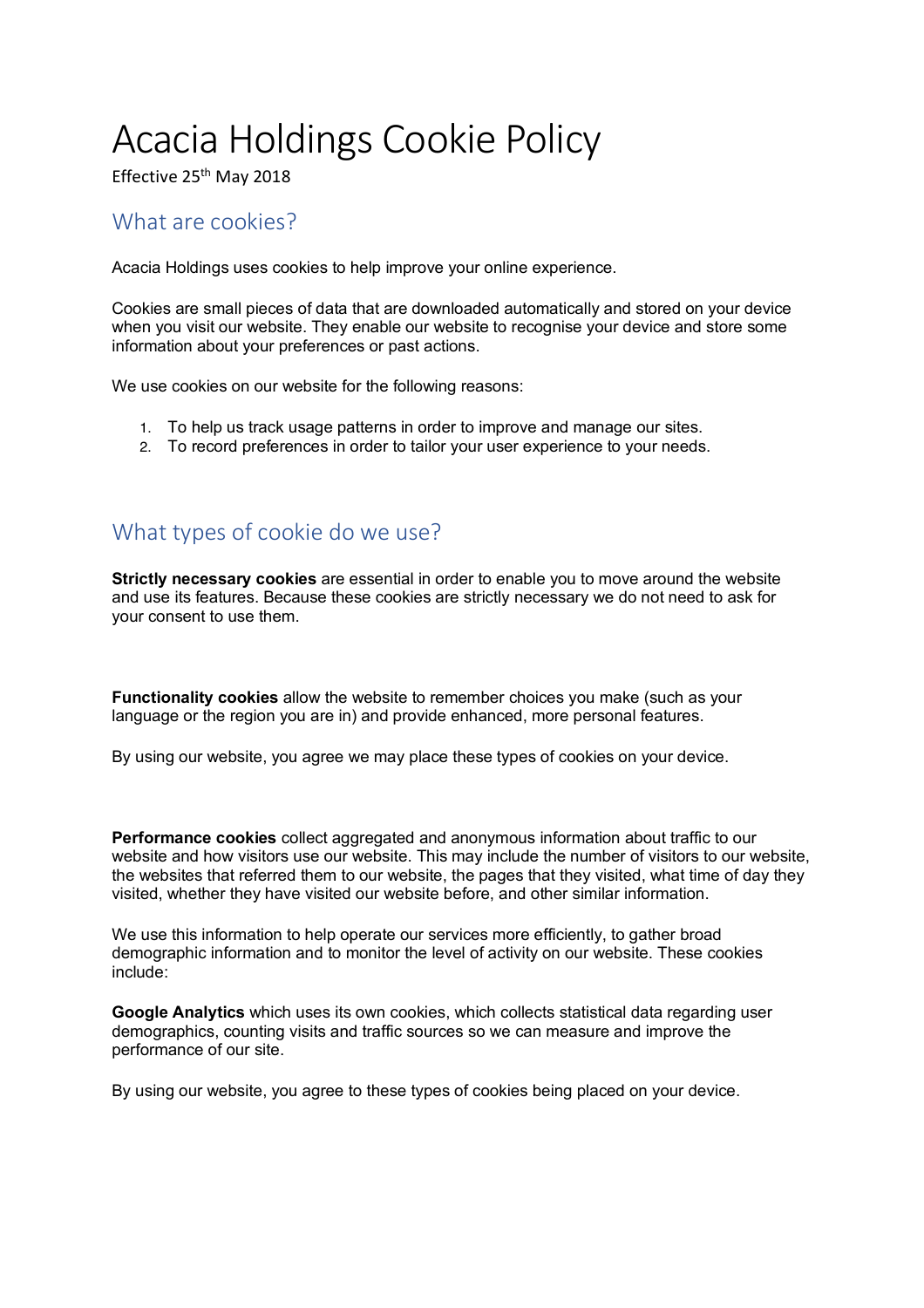# Acacia Holdings Cookie Policy

Effective 25<sup>th</sup> May 2018

## What are cookies?

Acacia Holdings uses cookies to help improve your online experience.

Cookies are small pieces of data that are downloaded automatically and stored on your device when you visit our website. They enable our website to recognise your device and store some information about your preferences or past actions.

We use cookies on our website for the following reasons:

- 1. To help us track usage patterns in order to improve and manage our sites.
- 2. To record preferences in order to tailor your user experience to your needs.

# What types of cookie do we use?

**Strictly necessary cookies** are essential in order to enable you to move around the website and use its features. Because these cookies are strictly necessary we do not need to ask for your consent to use them.

**Functionality cookies** allow the website to remember choices you make (such as your language or the region you are in) and provide enhanced, more personal features.

By using our website, you agree we may place these types of cookies on your device.

**Performance cookies** collect aggregated and anonymous information about traffic to our website and how visitors use our website. This may include the number of visitors to our website, the websites that referred them to our website, the pages that they visited, what time of day they visited, whether they have visited our website before, and other similar information.

We use this information to help operate our services more efficiently, to gather broad demographic information and to monitor the level of activity on our website. These cookies include:

**Google Analytics** which uses its own cookies, which collects statistical data regarding user demographics, counting visits and traffic sources so we can measure and improve the performance of our site.

By using our website, you agree to these types of cookies being placed on your device.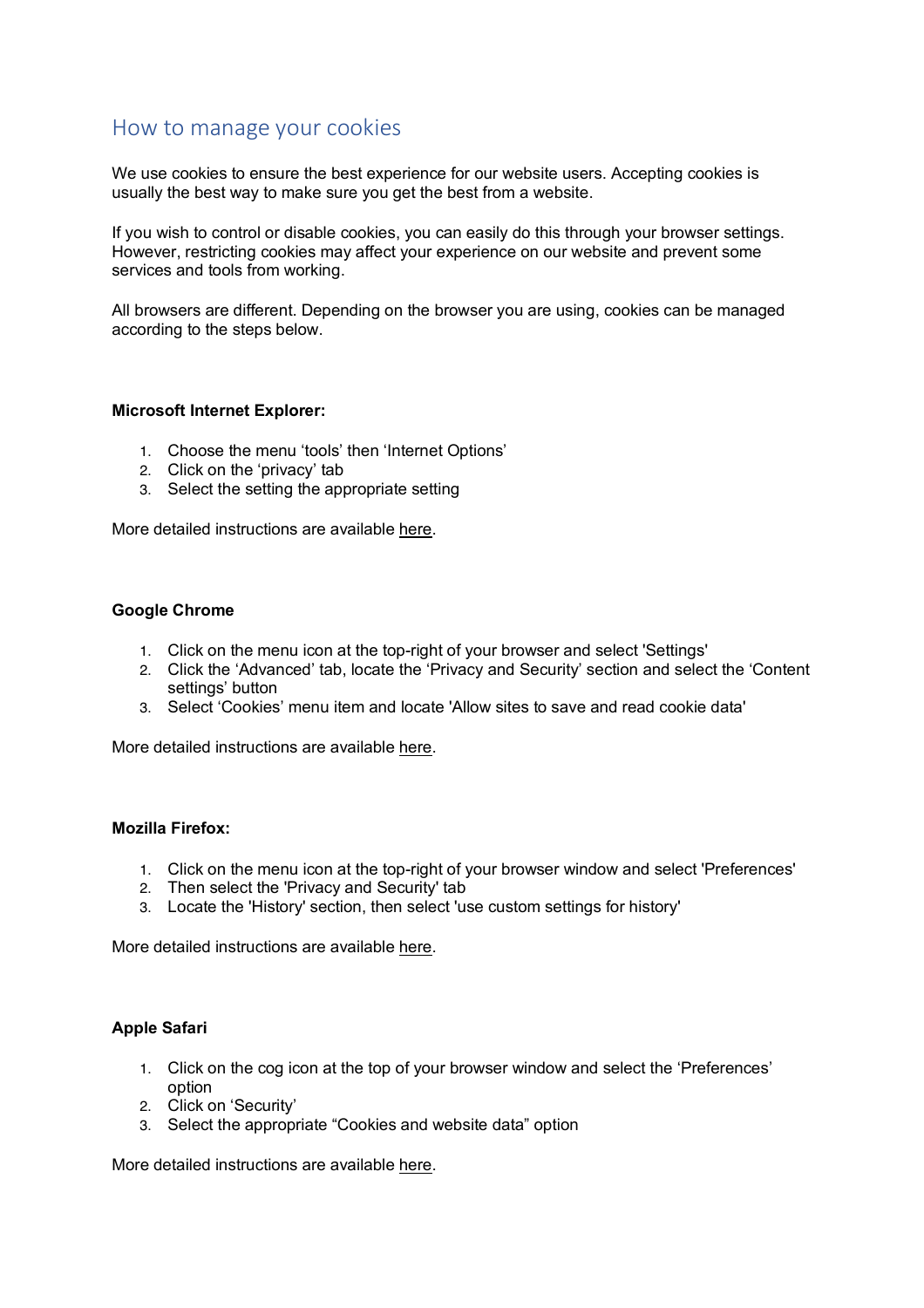### How to manage your cookies

We use cookies to ensure the best experience for our website users. Accepting cookies is usually the best way to make sure you get the best from a website.

If you wish to control or disable cookies, you can easily do this through your browser settings. However, restricting cookies may affect your experience on our website and prevent some services and tools from working.

All browsers are different. Depending on the browser you are using, cookies can be managed according to the steps below.

#### **Microsoft Internet Explorer:**

- 1. Choose the menu 'tools' then 'Internet Options'
- 2. Click on the 'privacy' tab
- 3. Select the setting the appropriate setting

More detailed instructions are available here.

#### **Google Chrome**

- 1. Click on the menu icon at the top-right of your browser and select 'Settings'
- 2. Click the 'Advanced' tab, locate the 'Privacy and Security' section and select the 'Content settings' button
- 3. Select 'Cookies' menu item and locate 'Allow sites to save and read cookie data'

More detailed instructions are available here.

#### **Mozilla Firefox:**

- 1. Click on the menu icon at the top-right of your browser window and select 'Preferences'
- 2. Then select the 'Privacy and Security' tab
- 3. Locate the 'History' section, then select 'use custom settings for history'

More detailed instructions are available here.

#### **Apple Safari**

- 1. Click on the cog icon at the top of your browser window and select the 'Preferences' option
- 2. Click on 'Security'
- 3. Select the appropriate "Cookies and website data" option

More detailed instructions are available here.